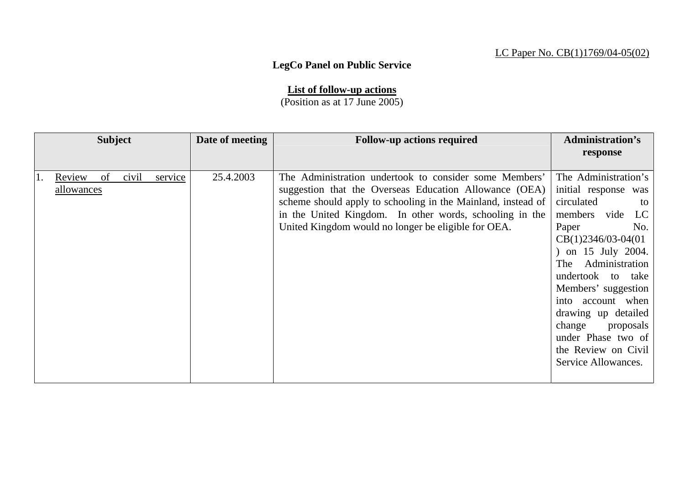## LC Paper No. CB(1)1769/04-05(02)

## **LegCo Panel on Public Service**

**List of follow-up actions**

(Position as at 17 June 2005)

|                                   | <b>Subject</b> |       |         | Date of meeting | <b>Follow-up actions required</b>                                                                                                                                                                                                                                                                  | <b>Administration's</b><br>response                                                                                                                                                                                                                                                                                                                                  |
|-----------------------------------|----------------|-------|---------|-----------------|----------------------------------------------------------------------------------------------------------------------------------------------------------------------------------------------------------------------------------------------------------------------------------------------------|----------------------------------------------------------------------------------------------------------------------------------------------------------------------------------------------------------------------------------------------------------------------------------------------------------------------------------------------------------------------|
| Review<br>Π.<br><u>allowances</u> | of             | civil | service | 25.4.2003       | The Administration undertook to consider some Members'<br>suggestion that the Overseas Education Allowance (OEA)<br>scheme should apply to schooling in the Mainland, instead of<br>in the United Kingdom. In other words, schooling in the<br>United Kingdom would no longer be eligible for OEA. | The Administration's<br>initial response was<br>circulated<br>to<br>members vide<br>LC<br>No.<br>Paper<br>$CB(1)2346/03-04(01)$<br>) on 15 July 2004.<br>Administration<br>The<br>undertook to<br>take<br>Members' suggestion<br>into account when<br>drawing up detailed<br>change<br>proposals<br>under Phase two of<br>the Review on Civil<br>Service Allowances. |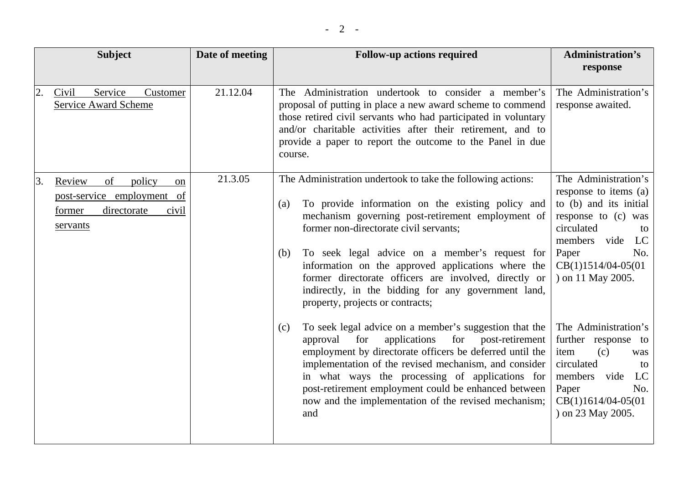|    | <b>Subject</b>                                                                                           | Date of meeting | <b>Follow-up actions required</b>                                                                                                                                                                                                                                                                                                                                                                                                                                                         | <b>Administration's</b><br>response                                                                                                                                                                    |
|----|----------------------------------------------------------------------------------------------------------|-----------------|-------------------------------------------------------------------------------------------------------------------------------------------------------------------------------------------------------------------------------------------------------------------------------------------------------------------------------------------------------------------------------------------------------------------------------------------------------------------------------------------|--------------------------------------------------------------------------------------------------------------------------------------------------------------------------------------------------------|
| 2. | Service<br>Civil<br>Customer<br>Service Award Scheme                                                     | 21.12.04        | The Administration undertook to consider a member's<br>proposal of putting in place a new award scheme to commend<br>those retired civil servants who had participated in voluntary<br>and/or charitable activities after their retirement, and to<br>provide a paper to report the outcome to the Panel in due<br>course.                                                                                                                                                                | The Administration's<br>response awaited.                                                                                                                                                              |
| 3. | Review<br>of<br>policy<br>on<br>post-service employment of<br>former<br>directorate<br>civil<br>servants | 21.3.05         | The Administration undertook to take the following actions:<br>To provide information on the existing policy and<br>(a)<br>mechanism governing post-retirement employment of<br>former non-directorate civil servants;<br>To seek legal advice on a member's request for<br>(b)<br>information on the approved applications where the<br>former directorate officers are involved, directly or<br>indirectly, in the bidding for any government land,<br>property, projects or contracts; | The Administration's<br>response to items (a)<br>to (b) and its initial<br>response to (c) was<br>circulated<br>to<br>members vide<br>LC<br>Paper<br>No.<br>$CB(1)1514/04-05(01)$<br>) on 11 May 2005. |
|    |                                                                                                          |                 | To seek legal advice on a member's suggestion that the<br>(c)<br>approval for<br>applications<br>for post-retirement<br>employment by directorate officers be deferred until the<br>implementation of the revised mechanism, and consider<br>in what ways the processing of applications for<br>post-retirement employment could be enhanced between<br>now and the implementation of the revised mechanism;<br>and                                                                       | The Administration's<br>further response to<br>item<br>(c)<br>was<br>circulated<br>to<br>members<br>vide<br>LC<br>Paper<br>No.<br>$CB(1)1614/04-05(01)$<br>) on 23 May 2005.                           |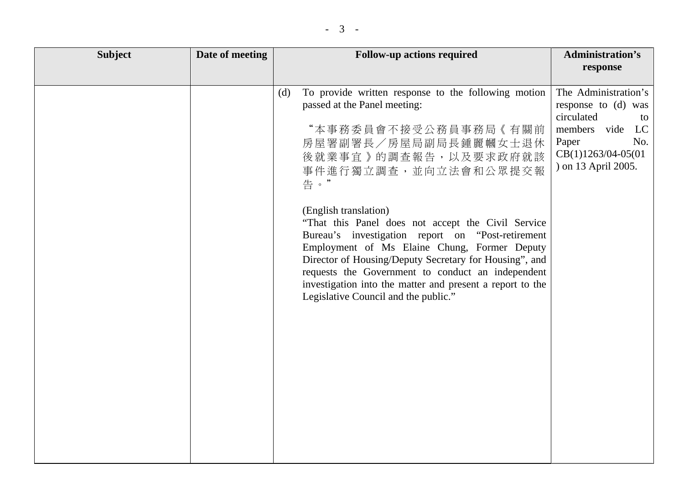| <b>Subject</b> | Date of meeting | <b>Follow-up actions required</b>                                                                                                                                                                                                                                                                                                                                                                                                                                                                                                                                                                          | <b>Administration's</b>                                                                                                                            |
|----------------|-----------------|------------------------------------------------------------------------------------------------------------------------------------------------------------------------------------------------------------------------------------------------------------------------------------------------------------------------------------------------------------------------------------------------------------------------------------------------------------------------------------------------------------------------------------------------------------------------------------------------------------|----------------------------------------------------------------------------------------------------------------------------------------------------|
|                |                 |                                                                                                                                                                                                                                                                                                                                                                                                                                                                                                                                                                                                            | response                                                                                                                                           |
|                |                 | To provide written response to the following motion<br>(d)<br>passed at the Panel meeting:<br>"本事務委員會不接受公務員事務局《有關前<br>房屋署副署長/房屋局副局長鍾麗幗女士退休<br>後就業事宜》的調查報告,以及要求政府就該<br>事件進行獨立調查,並向立法會和公眾提交報<br>告。"<br>(English translation)<br>"That this Panel does not accept the Civil Service"<br>Bureau's investigation report on "Post-retirement<br>Employment of Ms Elaine Chung, Former Deputy<br>Director of Housing/Deputy Secretary for Housing", and<br>requests the Government to conduct an independent<br>investigation into the matter and present a report to the<br>Legislative Council and the public." | The Administration's<br>response to (d) was<br>circulated<br>to<br>members vide<br>LC<br>Paper<br>No.<br>CB(1)1263/04-05(01<br>) on 13 April 2005. |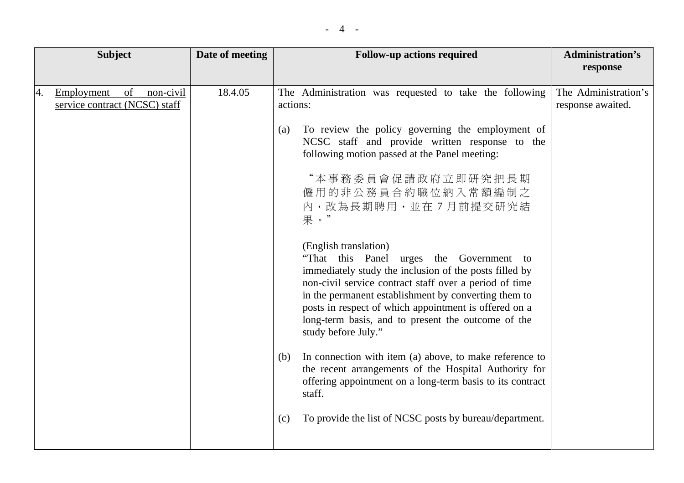|    | <b>Subject</b>                                                 | Date of meeting | <b>Follow-up actions required</b>                                                                                                                                                                                                                                                                                                                                                   | <b>Administration's</b><br>response       |
|----|----------------------------------------------------------------|-----------------|-------------------------------------------------------------------------------------------------------------------------------------------------------------------------------------------------------------------------------------------------------------------------------------------------------------------------------------------------------------------------------------|-------------------------------------------|
|    |                                                                |                 |                                                                                                                                                                                                                                                                                                                                                                                     |                                           |
| 4. | Employment<br>of<br>non-civil<br>service contract (NCSC) staff | 18.4.05         | The Administration was requested to take the following<br>actions:                                                                                                                                                                                                                                                                                                                  | The Administration's<br>response awaited. |
|    |                                                                |                 | To review the policy governing the employment of<br>(a)<br>NCSC staff and provide written response to the<br>following motion passed at the Panel meeting:                                                                                                                                                                                                                          |                                           |
|    |                                                                |                 | "本事務委員會促請政府立即研究把長期<br>僱用的非公務員合約職位納入常額編制之<br>內,改為長期聘用,並在7月前提交研究結<br>果。"                                                                                                                                                                                                                                                                                                              |                                           |
|    |                                                                |                 | (English translation)<br>"That this Panel urges the Government to<br>immediately study the inclusion of the posts filled by<br>non-civil service contract staff over a period of time<br>in the permanent establishment by converting them to<br>posts in respect of which appointment is offered on a<br>long-term basis, and to present the outcome of the<br>study before July." |                                           |
|    |                                                                |                 | In connection with item (a) above, to make reference to<br>(b)<br>the recent arrangements of the Hospital Authority for<br>offering appointment on a long-term basis to its contract<br>staff.                                                                                                                                                                                      |                                           |
|    |                                                                |                 | To provide the list of NCSC posts by bureau/department.<br>(c)                                                                                                                                                                                                                                                                                                                      |                                           |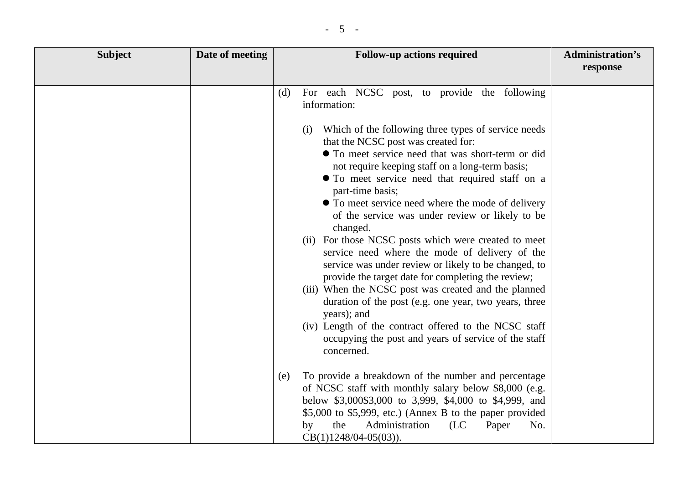| <b>Subject</b> | Date of meeting | <b>Follow-up actions required</b>                                                                                                                                                                                                                                                                                                                                                                                                                                                                                                                                                                                                                                                                                                                                                                                     | <b>Administration's</b><br>response |
|----------------|-----------------|-----------------------------------------------------------------------------------------------------------------------------------------------------------------------------------------------------------------------------------------------------------------------------------------------------------------------------------------------------------------------------------------------------------------------------------------------------------------------------------------------------------------------------------------------------------------------------------------------------------------------------------------------------------------------------------------------------------------------------------------------------------------------------------------------------------------------|-------------------------------------|
|                |                 |                                                                                                                                                                                                                                                                                                                                                                                                                                                                                                                                                                                                                                                                                                                                                                                                                       |                                     |
|                |                 | For each NCSC post, to provide the following<br>(d)<br>information:                                                                                                                                                                                                                                                                                                                                                                                                                                                                                                                                                                                                                                                                                                                                                   |                                     |
|                |                 | Which of the following three types of service needs<br>(1)<br>that the NCSC post was created for:<br>• To meet service need that was short-term or did<br>not require keeping staff on a long-term basis;<br>• To meet service need that required staff on a<br>part-time basis;<br>• To meet service need where the mode of delivery<br>of the service was under review or likely to be<br>changed.<br>(ii) For those NCSC posts which were created to meet<br>service need where the mode of delivery of the<br>service was under review or likely to be changed, to<br>provide the target date for completing the review;<br>(iii) When the NCSC post was created and the planned<br>duration of the post (e.g. one year, two years, three<br>years); and<br>(iv) Length of the contract offered to the NCSC staff |                                     |
|                |                 | occupying the post and years of service of the staff<br>concerned.                                                                                                                                                                                                                                                                                                                                                                                                                                                                                                                                                                                                                                                                                                                                                    |                                     |
|                |                 | To provide a breakdown of the number and percentage<br>(e)<br>of NCSC staff with monthly salary below \$8,000 (e.g.<br>below \$3,000\$3,000 to 3,999, \$4,000 to \$4,999, and<br>\$5,000 to \$5,999, etc.) (Annex B to the paper provided<br>Administration<br>the<br>No.<br>by<br>(LC)<br>Paper<br>$CB(1)1248/04-05(03)).$                                                                                                                                                                                                                                                                                                                                                                                                                                                                                           |                                     |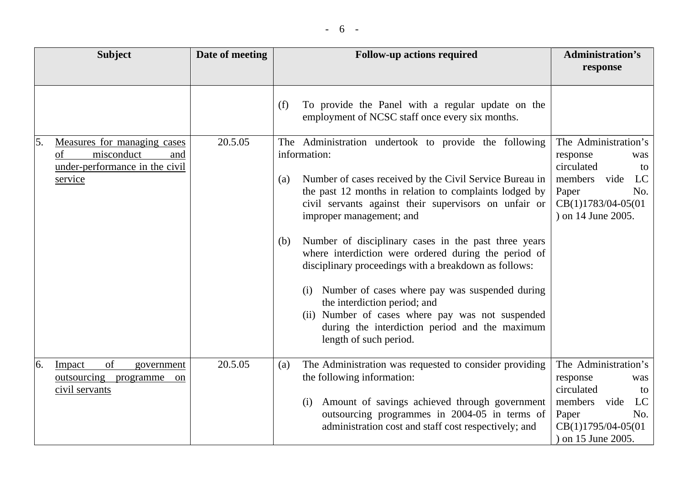|    | <b>Subject</b>                                                                                      | Date of meeting | <b>Follow-up actions required</b>                                                                                                                                                                                                                                                                                                                                                                                                                                                                                                                                                                                                                                                               | <b>Administration's</b><br>response                                                                                                              |
|----|-----------------------------------------------------------------------------------------------------|-----------------|-------------------------------------------------------------------------------------------------------------------------------------------------------------------------------------------------------------------------------------------------------------------------------------------------------------------------------------------------------------------------------------------------------------------------------------------------------------------------------------------------------------------------------------------------------------------------------------------------------------------------------------------------------------------------------------------------|--------------------------------------------------------------------------------------------------------------------------------------------------|
|    |                                                                                                     |                 | To provide the Panel with a regular update on the<br>(f)<br>employment of NCSC staff once every six months.                                                                                                                                                                                                                                                                                                                                                                                                                                                                                                                                                                                     |                                                                                                                                                  |
| 5. | Measures for managing cases<br>misconduct<br>of<br>and<br>under-performance in the civil<br>service | 20.5.05         | The Administration undertook to provide the following<br>information:<br>Number of cases received by the Civil Service Bureau in<br>(a)<br>the past 12 months in relation to complaints lodged by<br>civil servants against their supervisors on unfair or<br>improper management; and<br>Number of disciplinary cases in the past three years<br>(b)<br>where interdiction were ordered during the period of<br>disciplinary proceedings with a breakdown as follows:<br>(i) Number of cases where pay was suspended during<br>the interdiction period; and<br>Number of cases where pay was not suspended<br>(ii)<br>during the interdiction period and the maximum<br>length of such period. | The Administration's<br>response<br>was<br>circulated<br>to<br>members<br>vide<br>LC<br>No.<br>Paper<br>CB(1)1783/04-05(01<br>) on 14 June 2005. |
| 6. | of<br>Impact<br>government<br>outsourcing<br>programme<br><sub>on</sub><br>civil servants           | 20.5.05         | The Administration was requested to consider providing<br>(a)<br>the following information:<br>Amount of savings achieved through government<br>(i)<br>outsourcing programmes in 2004-05 in terms of<br>administration cost and staff cost respectively; and                                                                                                                                                                                                                                                                                                                                                                                                                                    | The Administration's<br>response<br>was<br>circulated<br>to<br>members<br>LC<br>vide<br>No.<br>Paper<br>CB(1)1795/04-05(01<br>) on 15 June 2005. |